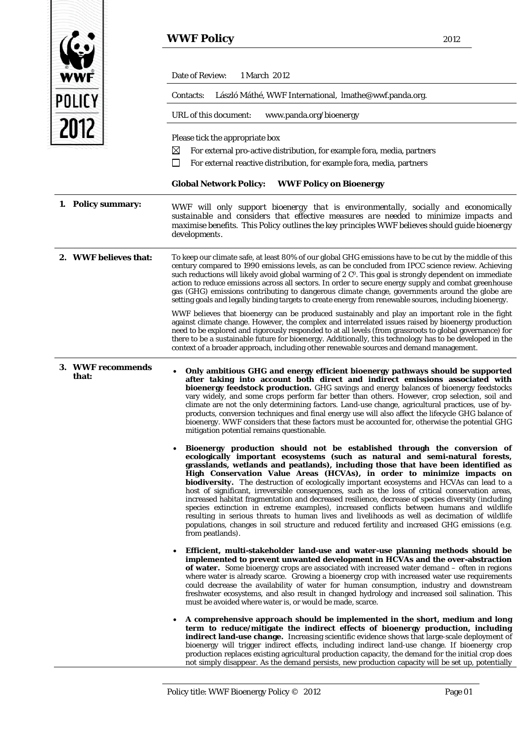|                            | <b>WWF Policy</b>                                                                                                                                                                                                                                                                                                                                                                                                                                                                                                                                                                                                                                                                                                                                                                                                                                                                                                                                               | 2012 |
|----------------------------|-----------------------------------------------------------------------------------------------------------------------------------------------------------------------------------------------------------------------------------------------------------------------------------------------------------------------------------------------------------------------------------------------------------------------------------------------------------------------------------------------------------------------------------------------------------------------------------------------------------------------------------------------------------------------------------------------------------------------------------------------------------------------------------------------------------------------------------------------------------------------------------------------------------------------------------------------------------------|------|
| <b>WWF</b>                 | Date of Review:<br>1 March 2012                                                                                                                                                                                                                                                                                                                                                                                                                                                                                                                                                                                                                                                                                                                                                                                                                                                                                                                                 |      |
| POLICY                     | László Máthé, WWF International, Imathe@wwf.panda.org.<br>Contacts:<br>URL of this document:<br>www.panda.org/bioenergy                                                                                                                                                                                                                                                                                                                                                                                                                                                                                                                                                                                                                                                                                                                                                                                                                                         |      |
| 2012                       | Please tick the appropriate box<br>For external pro-active distribution, for example fora, media, partners<br>$\boxtimes$<br>For external reactive distribution, for example fora, media, partners<br>$\mathsf{L}$                                                                                                                                                                                                                                                                                                                                                                                                                                                                                                                                                                                                                                                                                                                                              |      |
|                            | WWF Policy on Bioenergy<br><b>Global Network Policy:</b>                                                                                                                                                                                                                                                                                                                                                                                                                                                                                                                                                                                                                                                                                                                                                                                                                                                                                                        |      |
| Policy summary:<br>1.      | WWF will only support bioenergy that is environmentally, socially and economically<br>sustainable and considers that effective measures are needed to minimize impacts and<br>maximise benefits. This Policy outlines the key principles WWF believes should quide bioenergy<br>developments.                                                                                                                                                                                                                                                                                                                                                                                                                                                                                                                                                                                                                                                                   |      |
| 2. WWF believes that:      | To keep our climate safe, at least 80% of our global GHG emissions have to be cut by the middle of this<br>century compared to 1990 emissions levels, as can be concluded from IPCC science review. Achieving<br>such reductions will likely avoid global warming of 2 C <sup>o</sup> . This goal is strongly dependent on immediate<br>action to reduce emissions across all sectors. In order to secure energy supply and combat greenhouse<br>gas (GHG) emissions contributing to dangerous climate change, governments around the globe are<br>setting goals and legally binding targets to create energy from renewable sources, including bioenergy.                                                                                                                                                                                                                                                                                                      |      |
|                            | WWF believes that bioenergy can be produced sustainably and play an important role in the fight<br>against climate change. However, the complex and interrelated issues raised by bioenergy production<br>need to be explored and rigorously responded to at all levels (from grassroots to global governance) for<br>there to be a sustainable future for bioenergy. Additionally, this technology has to be developed in the<br>context of a broader approach, including other renewable sources and demand management.                                                                                                                                                                                                                                                                                                                                                                                                                                       |      |
| 3. WWF recommends<br>that: | Only ambitious GHG and energy efficient bioenergy pathways should be supported<br>after taking into account both direct and indirect emissions associated with<br>bioenergy feedstock production. GHG savings and energy balances of bioenergy feedstocks<br>vary widely, and some crops perform far better than others. However, crop selection, soil and<br>climate are not the only determining factors. Land-use change, agricultural practices, use of by-<br>products, conversion techniques and final energy use will also affect the lifecycle GHG balance of<br>bioenergy. WWF considers that these factors must be accounted for, otherwise the potential GHG<br>mitigation potential remains questionable.                                                                                                                                                                                                                                           |      |
|                            | Bioenergy production should not be established through the conversion of<br>$\bullet$<br>ecologically important ecosystems (such as natural and semi-natural forests,<br>grasslands, wetlands and peatlands), including those that have been identified as<br>High Conservation Value Areas (HCVAs), in order to minimize impacts on<br>biodiversity. The destruction of ecologically important ecosystems and HCVAs can lead to a<br>host of significant, irreversible consequences, such as the loss of critical conservation areas,<br>increased habitat fragmentation and decreased resilience, decrease of species diversity (including<br>species extinction in extreme examples), increased conflicts between humans and wildlife<br>resulting in serious threats to human lives and livelihoods as well as decimation of wildlife<br>populations, changes in soil structure and reduced fertility and increased GHG emissions (e.g.<br>from peatlands). |      |
|                            | Efficient, multi-stakeholder land-use and water-use planning methods should be<br>implemented to prevent unwanted development in HCVAs and the over-abstraction<br>of water. Some bioenergy crops are associated with increased water demand - often in regions<br>where water is already scarce. Growing a bioenergy crop with increased water use requirements<br>could decrease the availability of water for human consumption, industry and downstream<br>freshwater ecosystems, and also result in changed hydrology and increased soil salination. This<br>must be avoided where water is, or would be made, scarce.                                                                                                                                                                                                                                                                                                                                     |      |
|                            | A comprehensive approach should be implemented in the short, medium and long<br>term to reduce/mitigate the indirect effects of bioenergy production, including<br>indirect land-use change. Increasing scientific evidence shows that large-scale deployment of<br>bioenergy will trigger indirect effects, including indirect land-use change. If bioenergy crop<br>production replaces existing agricultural production capacity, the demand for the initial crop does<br>not simply disappear. As the demand persists, new production capacity will be set up, potentially                                                                                                                                                                                                                                                                                                                                                                                  |      |